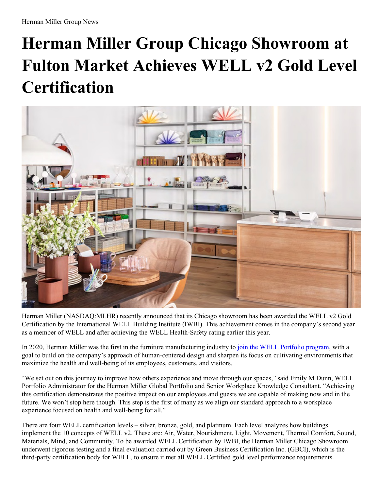## **Herman Miller Group Chicago Showroom at Fulton Market Achieves WELL v2 Gold Level Certification**



Herman Miller (NASDAQ:MLHR) recently announced that its Chicago showroom has been awarded the WELL v2 Gold Certification by the International WELL Building Institute (IWBI). This achievement comes in the company's second year as a member of WELL and after achieving the WELL Health-Safety rating earlier this year.

In 2020, Herman Miller was the first in the furniture manufacturing industry to join the WELL [Portfolio](https://news.hermanmiller.com/2020-01-22-Herman-Miller-Joins-International-WELL-Building-Institute) program, with a goal to build on the company's approach of human-centered design and sharpen its focus on cultivating environments that maximize the health and well-being of its employees, customers, and visitors.

"We set out on this journey to improve how others experience and move through our spaces," said Emily M Dunn, WELL Portfolio Administrator for the Herman Miller Global Portfolio and Senior Workplace Knowledge Consultant. "Achieving this certification demonstrates the positive impact on our employees and guests we are capable of making now and in the future. We won't stop here though. This step is the first of many as we align our standard approach to a workplace experience focused on health and well-being for all."

There are four WELL certification levels – silver, bronze, gold, and platinum. Each level analyzes how buildings implement the 10 concepts of WELL v2. These are: Air, Water, Nourishment, Light, Movement, Thermal Comfort, Sound, Materials, Mind, and Community. To be awarded WELL Certification by IWBI, the Herman Miller Chicago Showroom underwent rigorous testing and a final evaluation carried out by Green Business Certification Inc. (GBCI), which is the third-party certification body for WELL, to ensure it met all WELL Certified gold level performance requirements.